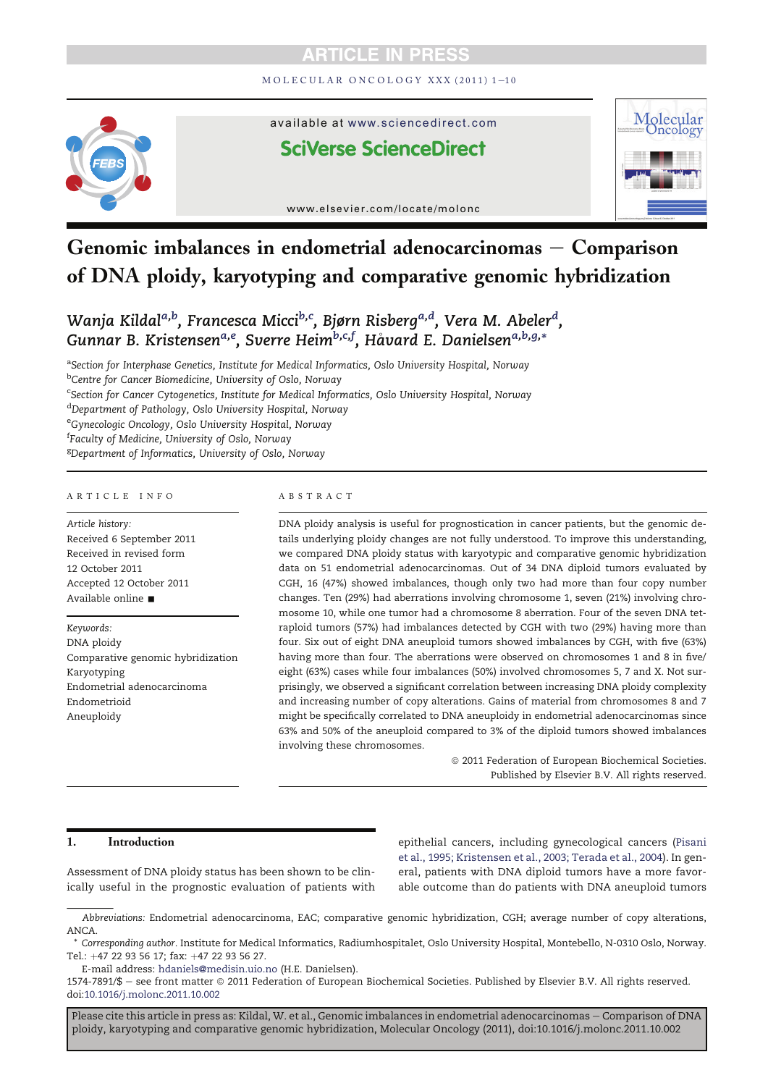MOLECULAR ONCOLOGY XXX (2011) 1-10



available at www.sciencedirect.com

# **SciVerse ScienceDirect**



www.elsevier.com/locate/molonc

# Genomic imbalances in endometrial adenocarcinomas  $-$  Comparison of DNA ploidy, karyotyping and comparative genomic hybridization

Wanja Kildal<sup>a,b</sup>, Francesca Micci<sup>b,c</sup>, Bjørn Risberg<sup>a,d</sup>, Vera M. Abeler<sup>d</sup>, Gunnar B. Kristensen<sup>a,e</sup>, Sverre Heim<sup>b,c,f</sup>, Håvard E. Danielsen<sup>a,b,g,</sup>\*

<sup>a</sup>Section for Interphase Genetics, Institute for Medical Informatics, Oslo University Hospital, Norway

<sup>b</sup>Centre for Cancer Biomedicine, University of Oslo, Norway

<sup>c</sup>Section for Cancer Cytogenetics, Institute for Medical Informatics, Oslo University Hospital, Norway

<sup>d</sup>Department of Pathology, Oslo University Hospital, Norway

<sup>e</sup>Gynecologic Oncology, Oslo University Hospital, Norway

f Faculty of Medicine, University of Oslo, Norway

<sup>g</sup>Department of Informatics, University of Oslo, Norway

#### ARTICLE INFO

Article history: Received 6 September 2011 Received in revised form 12 October 2011 Accepted 12 October 2011 Available online  $\blacksquare$ 

Keywords:

DNA ploidy Comparative genomic hybridization Karyotyping Endometrial adenocarcinoma Endometrioid Aneuploidy

#### ABSTRACT

DNA ploidy analysis is useful for prognostication in cancer patients, but the genomic details underlying ploidy changes are not fully understood. To improve this understanding, we compared DNA ploidy status with karyotypic and comparative genomic hybridization data on 51 endometrial adenocarcinomas. Out of 34 DNA diploid tumors evaluated by CGH, 16 (47%) showed imbalances, though only two had more than four copy number changes. Ten (29%) had aberrations involving chromosome 1, seven (21%) involving chromosome 10, while one tumor had a chromosome 8 aberration. Four of the seven DNA tetraploid tumors (57%) had imbalances detected by CGH with two (29%) having more than four. Six out of eight DNA aneuploid tumors showed imbalances by CGH, with five (63%) having more than four. The aberrations were observed on chromosomes 1 and 8 in five/ eight (63%) cases while four imbalances (50%) involved chromosomes 5, 7 and X. Not surprisingly, we observed a significant correlation between increasing DNA ploidy complexity and increasing number of copy alterations. Gains of material from chromosomes 8 and 7 might be specifically correlated to DNA aneuploidy in endometrial adenocarcinomas since 63% and 50% of the aneuploid compared to 3% of the diploid tumors showed imbalances involving these chromosomes.

> $© 2011 Federation of European Biochemical Societies.$ Published by Elsevier B.V. All rights reserved.

# 1. Introduction

Assessment of DNA ploidy status has been shown to be clinically useful in the prognostic evaluation of patients with

epithelial cancers, including gynecological cancers (Pisani et al., 1995; Kristensen et al., 2003; Terada et al., 2004). In general, patients with DNA diploid tumors have a more favorable outcome than do patients with DNA aneuploid tumors

E-mail address: hdaniels@medisin.uio.no (H.E. Danielsen).

Abbreviations: Endometrial adenocarcinoma, EAC; comparative genomic hybridization, CGH; average number of copy alterations, ANCA.

<sup>\*</sup> Corresponding author. Institute for Medical Informatics, Radiumhospitalet, Oslo University Hospital, Montebello, N-0310 Oslo, Norway. Tel.: +47 22 93 56 17; fax: +47 22 93 56 27.

<sup>1574-7891/\$ -</sup> see front matter © 2011 Federation of European Biochemical Societies. Published by Elsevier B.V. All rights reserved. doi:10.1016/j.molonc.2011.10.002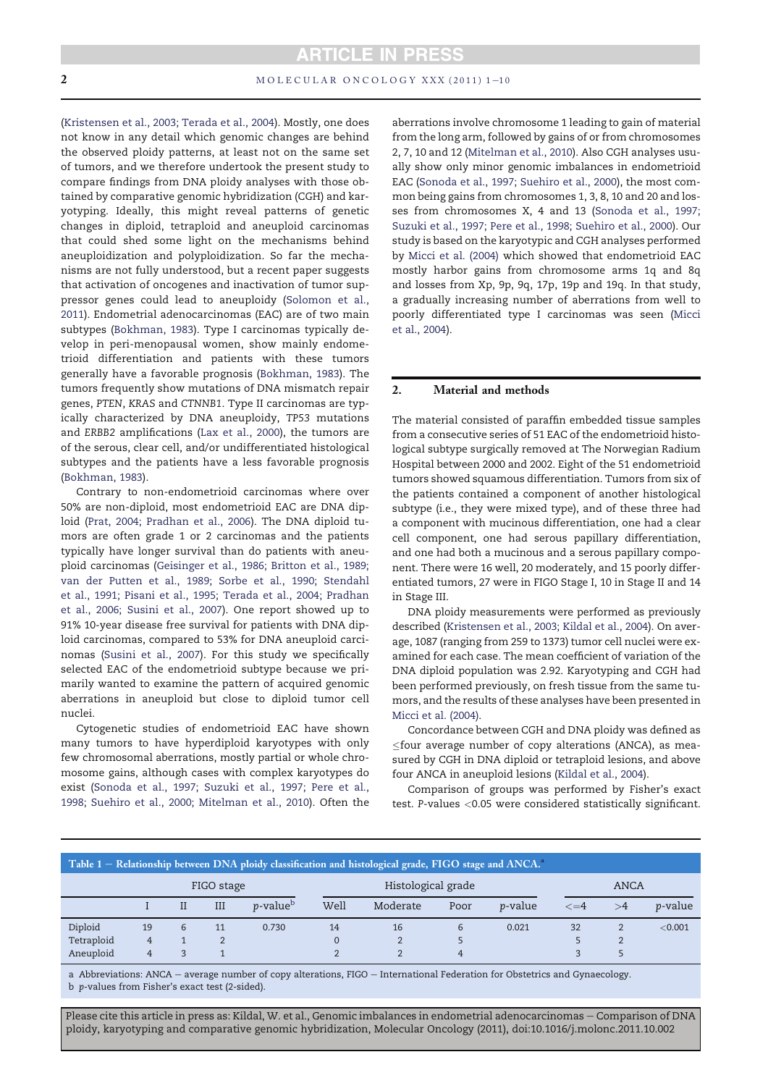(Kristensen et al., 2003; Terada et al., 2004). Mostly, one does not know in any detail which genomic changes are behind the observed ploidy patterns, at least not on the same set of tumors, and we therefore undertook the present study to compare findings from DNA ploidy analyses with those obtained by comparative genomic hybridization (CGH) and karyotyping. Ideally, this might reveal patterns of genetic changes in diploid, tetraploid and aneuploid carcinomas that could shed some light on the mechanisms behind aneuploidization and polyploidization. So far the mechanisms are not fully understood, but a recent paper suggests that activation of oncogenes and inactivation of tumor suppressor genes could lead to aneuploidy (Solomon et al., 2011). Endometrial adenocarcinomas (EAC) are of two main subtypes (Bokhman, 1983). Type I carcinomas typically develop in peri-menopausal women, show mainly endometrioid differentiation and patients with these tumors generally have a favorable prognosis (Bokhman, 1983). The tumors frequently show mutations of DNA mismatch repair genes, PTEN, KRAS and CTNNB1. Type II carcinomas are typically characterized by DNA aneuploidy, TP53 mutations and ERBB2 amplifications (Lax et al., 2000), the tumors are of the serous, clear cell, and/or undifferentiated histological subtypes and the patients have a less favorable prognosis (Bokhman, 1983).

Contrary to non-endometrioid carcinomas where over 50% are non-diploid, most endometrioid EAC are DNA diploid (Prat, 2004; Pradhan et al., 2006). The DNA diploid tumors are often grade 1 or 2 carcinomas and the patients typically have longer survival than do patients with aneuploid carcinomas (Geisinger et al., 1986; Britton et al., 1989; van der Putten et al., 1989; Sorbe et al., 1990; Stendahl et al., 1991; Pisani et al., 1995; Terada et al., 2004; Pradhan et al., 2006; Susini et al., 2007). One report showed up to 91% 10-year disease free survival for patients with DNA diploid carcinomas, compared to 53% for DNA aneuploid carcinomas (Susini et al., 2007). For this study we specifically selected EAC of the endometrioid subtype because we primarily wanted to examine the pattern of acquired genomic aberrations in aneuploid but close to diploid tumor cell nuclei.

Cytogenetic studies of endometrioid EAC have shown many tumors to have hyperdiploid karyotypes with only few chromosomal aberrations, mostly partial or whole chromosome gains, although cases with complex karyotypes do exist (Sonoda et al., 1997; Suzuki et al., 1997; Pere et al., 1998; Suehiro et al., 2000; Mitelman et al., 2010). Often the aberrations involve chromosome 1 leading to gain of material from the long arm, followed by gains of or from chromosomes 2, 7, 10 and 12 (Mitelman et al., 2010). Also CGH analyses usually show only minor genomic imbalances in endometrioid EAC (Sonoda et al., 1997; Suehiro et al., 2000), the most common being gains from chromosomes 1, 3, 8, 10 and 20 and losses from chromosomes X, 4 and 13 (Sonoda et al., 1997; Suzuki et al., 1997; Pere et al., 1998; Suehiro et al., 2000). Our study is based on the karyotypic and CGH analyses performed by Micci et al. (2004) which showed that endometrioid EAC mostly harbor gains from chromosome arms 1q and 8q and losses from Xp, 9p, 9q, 17p, 19p and 19q. In that study, a gradually increasing number of aberrations from well to poorly differentiated type I carcinomas was seen (Micci et al., 2004).

## 2. Material and methods

The material consisted of paraffin embedded tissue samples from a consecutive series of 51 EAC of the endometrioid histological subtype surgically removed at The Norwegian Radium Hospital between 2000 and 2002. Eight of the 51 endometrioid tumors showed squamous differentiation. Tumors from six of the patients contained a component of another histological subtype (i.e., they were mixed type), and of these three had a component with mucinous differentiation, one had a clear cell component, one had serous papillary differentiation, and one had both a mucinous and a serous papillary component. There were 16 well, 20 moderately, and 15 poorly differentiated tumors, 27 were in FIGO Stage I, 10 in Stage II and 14 in Stage III.

DNA ploidy measurements were performed as previously described (Kristensen et al., 2003; Kildal et al., 2004). On average, 1087 (ranging from 259 to 1373) tumor cell nuclei were examined for each case. The mean coefficient of variation of the DNA diploid population was 2.92. Karyotyping and CGH had been performed previously, on fresh tissue from the same tumors, and the results of these analyses have been presented in Micci et al. (2004).

Concordance between CGH and DNA ploidy was defined as  $\le$ four average number of copy alterations (ANCA), as measured by CGH in DNA diploid or tetraploid lesions, and above four ANCA in aneuploid lesions (Kildal et al., 2004).

Comparison of groups was performed by Fisher's exact test. P-values <0.05 were considered statistically significant.

|            |                |         |            |                              |                | Table 1 – Relationship between DNA ploidy classification and histological grade, FIGO stage and ANCA. |                |                 |           |                |                 |
|------------|----------------|---------|------------|------------------------------|----------------|-------------------------------------------------------------------------------------------------------|----------------|-----------------|-----------|----------------|-----------------|
|            |                |         | FIGO stage |                              |                | Histological grade                                                                                    |                |                 |           | <b>ANCA</b>    |                 |
|            |                | $_{II}$ | III        | <i>p</i> -value <sup>b</sup> | Well           | Moderate                                                                                              | Poor           | <i>v</i> -value | $\leq$ =4 | $>\!4$         | <i>p</i> -value |
| Diploid    | 19             | 6       | 11         | 0.730                        | 14             | 16                                                                                                    | 6              | 0.021           | 32        | $\overline{2}$ | < 0.001         |
| Tetraploid | $\overline{4}$ |         | 2          |                              | $\mathbf{0}$   | $\overline{2}$                                                                                        |                |                 |           | $\overline{2}$ |                 |
| Aneuploid  | $\overline{4}$ | 3       |            |                              | $\overline{2}$ | າ                                                                                                     | $\overline{4}$ |                 | 3         |                |                 |

a Abbreviations: ANCA - average number of copy alterations, FIGO - International Federation for Obstetrics and Gynaecology. b p-values from Fisher's exact test (2-sided).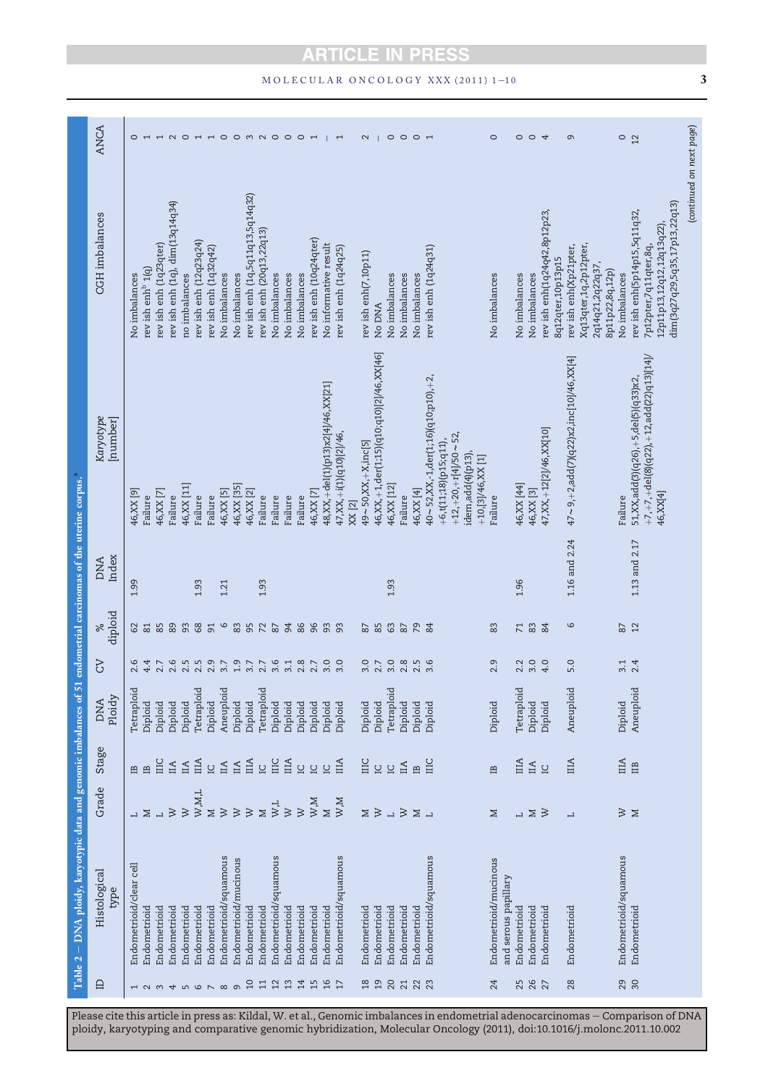| Table 2 - DNA ploidy, karyotypic data and genomic imbalances of<br>Histological |                             |                               |                      |                |                      | 51 endometrial carcinomas of the uterine corpus. <sup>4</sup> |                                                                                                       |                                                                                                                     |                |
|---------------------------------------------------------------------------------|-----------------------------|-------------------------------|----------------------|----------------|----------------------|---------------------------------------------------------------|-------------------------------------------------------------------------------------------------------|---------------------------------------------------------------------------------------------------------------------|----------------|
|                                                                                 | Grade                       | Stage                         | Ploidy<br><b>DNA</b> | <b>PD</b>      | diploid<br>$\approx$ | Index<br><b>DNA</b>                                           | Karyotype<br>[number]                                                                                 | <b>CGH</b> imbalances                                                                                               | <b>ANCA</b>    |
|                                                                                 |                             | 巴                             | Tetraploid           | 2.6            | ଌ                    | 1.99                                                          | 46, XX [9]                                                                                            | No imbalances                                                                                                       | $\circ$        |
|                                                                                 | ⊠                           | 兽                             | Diploid              | 4.4            | 81                   |                                                               | Failure                                                                                               | rev ish enh $^{\rm b}$ 1(q)                                                                                         | $\overline{ }$ |
|                                                                                 |                             | $\Xi$                         | Diploid              | 2.7            | 85                   |                                                               | 46,XX [7]                                                                                             | rev ish enh (1q23qter)                                                                                              | HNOHHOOMNOOOH  |
|                                                                                 | $\geq$                      | $\mathbb H$                   | Diploid              | 2.6            | 89                   |                                                               | Failure                                                                                               | rev ish enh (1q), dim(13q14q34)                                                                                     |                |
|                                                                                 | $\overline{\mathsf{v}}$     | $\mathbb{I}$ A                | Diploid              | 2.5            | 93                   |                                                               | 46, XX [11]                                                                                           | no imbalances                                                                                                       |                |
|                                                                                 | $_{\rm W,M,L}$              | IIIA                          | Tetraploid           | 2.5            | $68$                 | 1.93                                                          | Failure                                                                                               | rev ish enh (12q23q24)                                                                                              |                |
|                                                                                 | $\geq$                      | $\overline{a}$                | Diploid              | 2.9            | 51                   |                                                               | Failure                                                                                               | rev ish enh (1q32q42)                                                                                               |                |
|                                                                                 | $\gtrsim$                   | $\mathbb H$                   | Aneuploid            | 3.7            | $\circ$              | 1.21                                                          | 46, XX [5]                                                                                            | No imbalances                                                                                                       |                |
|                                                                                 | $\gtrsim$                   | IIA                           | Diploid              | 1.9            | 83                   |                                                               | 46, XX [35]                                                                                           | No imbalances                                                                                                       |                |
|                                                                                 | $\overline{\triangleright}$ | ЩA                            | Diploid              | $3.7$<br>2.7   | 95                   |                                                               | 46, XX [2]                                                                                            | rev ish enh (1q,5q11q13,5q14q32)                                                                                    |                |
|                                                                                 | $\mathbf{\Sigma}$           | $\overline{\Omega}$           | Tetraploid           |                | 72                   | 1.93                                                          | Failure                                                                                               | rev ish enh (20q13,22q13)                                                                                           |                |
|                                                                                 |                             | $\Xi$                         | Diploid              | 3.6            | $\rm 87$             |                                                               | Failure                                                                                               | No imbalances                                                                                                       |                |
|                                                                                 | $_{\rm W}^{\rm W, L}$       | ША                            | Diploid              | 3.1            | 94                   |                                                               | Failure                                                                                               | No imbalances                                                                                                       |                |
|                                                                                 | $\overline{\mathsf{v}}$     | <b>UU</b>                     | Diploid              | 2.8            | 86                   |                                                               | Failure                                                                                               | No imbalances                                                                                                       |                |
|                                                                                 | W, M                        |                               | Diploid              | 2.7            | 96                   |                                                               | 46, XX   7                                                                                            | rev ish enh (10q24qter)                                                                                             |                |
|                                                                                 | $\Sigma$                    | $\overline{a}$                | Diploid              | 3.0            | 93                   |                                                               | 48, XX, +del(1)(p13)x2[4]/46, XX[21]                                                                  | No informative result                                                                                               |                |
|                                                                                 | W, M                        | $\Box$                        | Diploid              | 3.0            | 93                   |                                                               | 47, XX, +i(1)(q10)[2]/46,                                                                             | rev ish enh (1q24q25)                                                                                               | $\overline{ }$ |
|                                                                                 |                             |                               |                      |                |                      |                                                               | XX [2]                                                                                                |                                                                                                                     |                |
|                                                                                 |                             |                               | Diploid              | 3.0            | $\approx$            |                                                               | $49 \sim 50, XX, +X, inc[5]$                                                                          | rev ish enh(7,10p11)                                                                                                | $\mathbf 2$    |
|                                                                                 | $\geq$ $\geq$               | ក្ក<br>ក                      | Diploid              | 2.7            | 85                   |                                                               | 46, XX, +1, der(1;15)(q10; q10)[2]/46, XX[46]                                                         | No DNA                                                                                                              |                |
|                                                                                 | $\overline{a}$              | $\overline{a}$                | Tetraploid           | 3.0            | 63                   | 1.93                                                          | 46, XX [12]                                                                                           | No imbalances                                                                                                       | $\circ$        |
|                                                                                 | $\gtrsim$                   | $\mathbbm{H}$                 | Diploid              | 2.8            | 87                   |                                                               | Failure                                                                                               | No imbalances                                                                                                       |                |
|                                                                                 | $\geq$ $\overline{z}$       | $\mathbf{r}$                  | Diploid              | $2.5$<br>$3.6$ | $\mathcal{L}$        |                                                               | 46, XX [4]                                                                                            | No imbalances                                                                                                       | $O$ $O$ $H$    |
|                                                                                 |                             | ШC                            | Diploid              |                | 84                   |                                                               | $40 \sim$ 52, XX,-1, der(1;16)(q10;p10), +2,                                                          | rev ish enh (1q24q31)                                                                                               |                |
|                                                                                 |                             |                               |                      |                |                      |                                                               | $+12, +20, +r[4]/50 \sim 52,$<br>+6,t(11;18)(p15;q11),<br>idem,add(4)(p13),<br>$+10$ , [3]/46, XX [1] |                                                                                                                     |                |
|                                                                                 | $\geq$                      | $\mathbf{B}$                  | Diploid              | 2.9            | 83                   |                                                               | Failure                                                                                               | No imbalances                                                                                                       | $\circ$        |
|                                                                                 | L,                          | ША                            | Tetraploid           | 2.2            | $\overline{7}$       | 1.96                                                          | 46, XX [44]                                                                                           | No imbalances                                                                                                       |                |
|                                                                                 | $\geq$                      | $\mathbbm{H}$                 | Diploid              | 3.0            | $\mathbbm{8}$        |                                                               | 46, XX [3]                                                                                            | No imbalances                                                                                                       | 004            |
|                                                                                 | $\gtrsim$                   | $\overline{\Xi}$              | Diploid              | 4.0            | 84                   |                                                               | 47, XX, +12[2]/46, XX[10]                                                                             | rev ish enh(1q24q42,8p12p23,<br>8q12qter,10p13p15                                                                   |                |
|                                                                                 | $\overline{1}$              | $\mathop{\rm III}\nolimits$ A | Aneuploid            | 5.0            | $\circ$              | 1.16 and 2.24                                                 | $47 \sim 9, +2,$ add(7)(q22)x2,inc[10]/46,XX[4]                                                       | Xq13qter,1q,2p12pter,<br>rev ish enh(Xp21pter,                                                                      | $\sigma$       |
|                                                                                 |                             |                               |                      |                |                      |                                                               |                                                                                                       | 2q14q21,2q22q37,<br>8p11p22,8q,12p)                                                                                 |                |
|                                                                                 | $\gtrsim$ $\lesssim$        | $\rm _{IIIA}$                 | Diploid              | 3.1            | 2                    |                                                               | Failure                                                                                               | No imbalances                                                                                                       | $\circ$        |
|                                                                                 |                             | $\mathbb{B}$                  | Aneuploid            | 2.4            | 12                   | 1.13 and 2.17                                                 | $+7, +7, +$ del(8)(q22), +12,add(22)q13)[14]/<br>51,XX,add(3)(q26),+5,del(5)(q33)x2,<br>46, XX[4]     | dim(3q27q29,5q35,17p13,22q13)<br>rev ish enh(5p14p15,5q11q32,<br>12p11p13,12q12,12q13q22),<br>7p12pter,7q11qter,8q, | 12             |
|                                                                                 |                             |                               |                      |                |                      |                                                               |                                                                                                       | (continued on next page)                                                                                            |                |

Please cite this article in press as: Kildal, W. et al., Genomic imbalances in endometrial adenocarcinomas – Comparison of DNA ploidy, karyotyping and comparative genomic hybridization, Molecular Oncology (2011), doi:10.1016/j.molonc.2011.10.002

# $MOLECULAR ONCOLOGY XXX (2011) 1–10$  3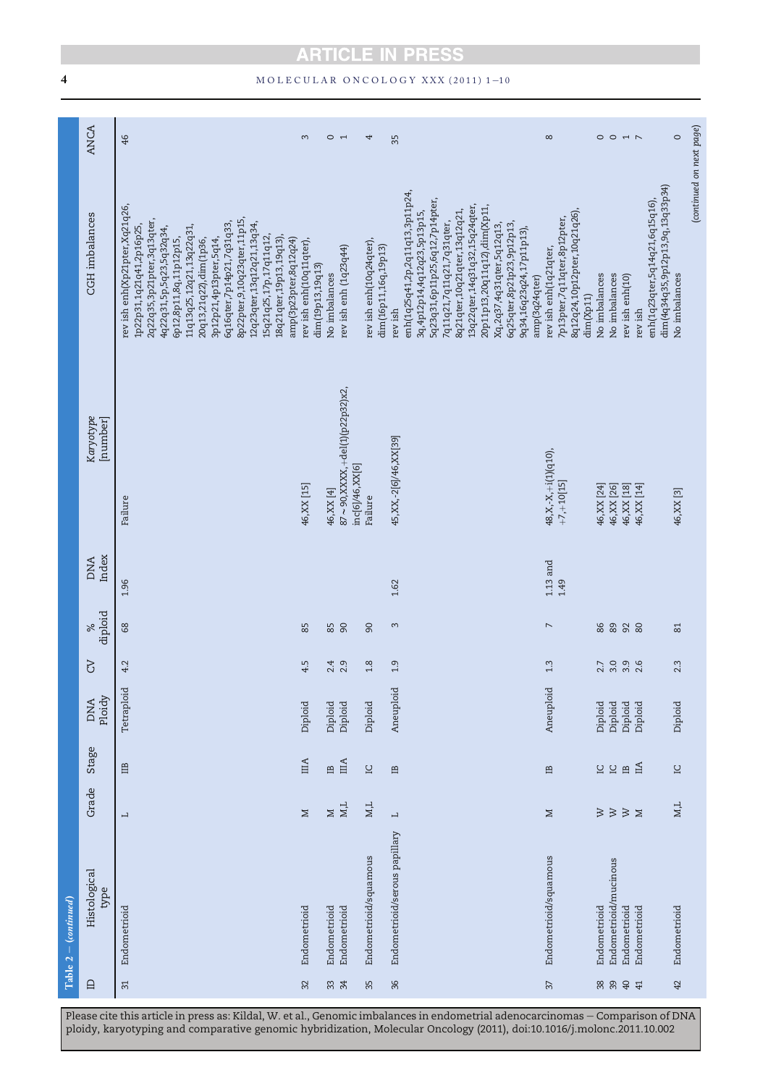# 4 MOLECULAR ONCOLOGY XXX (2011) 1-10

| Histological<br>$Table 2 - (continued)$                                                         | Grade | Stage | <b>DNA</b> | 5 | $\aleph$      | <b>DNA</b>         | Karyotype                                        | <b>CGH</b> imbalances                                                                                                                                                                                                                                                                                                                                                                                   | <b>ANCA</b>    |
|-------------------------------------------------------------------------------------------------|-------|-------|------------|---|---------------|--------------------|--------------------------------------------------|---------------------------------------------------------------------------------------------------------------------------------------------------------------------------------------------------------------------------------------------------------------------------------------------------------------------------------------------------------------------------------------------------------|----------------|
| Ploidy<br>type                                                                                  |       |       |            |   | diploid       | Index              | [number]                                         |                                                                                                                                                                                                                                                                                                                                                                                                         |                |
| 4.2<br>Tetraploid<br>白<br>$\overline{\phantom{0}}$<br>Endometrioid                              |       |       |            |   | $\frac{8}{3}$ | 1.96               | Failure                                          | rev ish enh(Xp21pter,Xq21q26,<br>8p22pter, 9, 10q23qter, 11p15,<br>2q22q35,3p21pter,3q13qter,<br>6q16qter,7p14p21,7q31q33,<br>12q23qter,13q12q21,13q34,<br>1p22p31,1q21q41,2p16p25,<br>11q13q25,12q21,13q22q31,<br>4q22q31,5p,5q23,5q32q34,<br>15q21q25,17p,17q11q12,<br>18q21qter,19p13,19q13),<br>6p12,8p11,8q,11p12p15,<br>3p12p21,4p13pter,5q14,<br>amp(3p23pter,8q12q24)<br>20q13,21q22),dim(1p36, | 46             |
| 4.5<br>Diploid<br>$\overline{\text{HIA}}$<br>$\geq$<br>Endometrioid                             |       |       |            |   | 85            |                    | 46, XX [15]                                      | rev ish enh(10q11qter),<br>dim(19p13,19q13)                                                                                                                                                                                                                                                                                                                                                             | 3              |
| 2.4<br>Diploid<br>$\mathop{_\mathrm{m}}\nolimits$<br>$\geq$<br>Endometrioid                     |       |       |            |   |               |                    | 46, XX [4]                                       | No imbalances                                                                                                                                                                                                                                                                                                                                                                                           |                |
| 85<br>2.9<br>Diploid<br>ША<br>$_{\rm M,L}$<br>Endometrioid                                      |       |       |            |   |               |                    | 87~90,XXXX,+del(1)(p22p32)x2,<br>inc[6]/46,XX[6] | rev ish enh (1q23q44)                                                                                                                                                                                                                                                                                                                                                                                   | $\overline{C}$ |
| 90<br>1.8<br>Diploid<br>$\square$<br>$M,L$<br>Endometrioid/squamous                             |       |       |            |   |               |                    | Failure                                          | rev ish enh(10q24qter),                                                                                                                                                                                                                                                                                                                                                                                 | 4              |
| 1.9<br>Aneuploid<br>$\mathbf{B}$<br>$\overline{\phantom{0}}$<br>Endometrioid/serous papillary   |       |       |            |   | 3             | 1.62               | 45, XX, -2[6]/46, XX[39]                         | dim(16p11,16q,19p13)<br>rev ish                                                                                                                                                                                                                                                                                                                                                                         | 35             |
|                                                                                                 |       |       |            |   |               |                    |                                                  | enh(1q25q41,2p,2q11q13,3p11p24,<br>5q23q31,6p11p25,6q12,7p14pter,<br>13q22qter,14q31q32,15q24qter,<br>20p11p13,20q11q12),dim(Xp11,<br>8q21qter,10q21qter,13q12q21,<br>3q, 4p12p14, 4q12q23, 5p13p15,<br>7q11q21,7q11q21,7q31qter,<br>6q25qter,8p21p23,9p12p13,<br>Xq,2q37,4q31qter,5q12q13,<br>9q34,16q23q24,17p11p13),                                                                                 |                |
| $\overline{\phantom{a}}$<br>1.3<br>Aneuploid<br>$\mathbf{B}$<br>$\geq$<br>Endometrioid/squamous |       |       |            |   |               | $1.13$ and<br>1.49 | 48, X, - X, +i(1)(q10),<br>$+7, +10[15]$         | 8q12q24,10p12pter,10q21q26),<br>7p13pter,7q11qter,8p12pter,<br>rev ish enh(1q21qter,<br>amp(3q24qter)                                                                                                                                                                                                                                                                                                   | $\infty$       |
|                                                                                                 |       |       |            |   |               |                    |                                                  | dim(Xp11)                                                                                                                                                                                                                                                                                                                                                                                               |                |
| 86<br>2.7<br>Diploid<br>C.<br>$\geqslant$<br>Endometrioid                                       |       |       |            |   |               |                    | 46, XX [24]                                      | No imbalances                                                                                                                                                                                                                                                                                                                                                                                           | $\circ$        |
| 89<br>3.0<br>Diploid<br>$\overline{\Xi}$<br>$\mbox{\tt W}$<br>Endometrioid/mucinous             |       |       |            |   |               |                    | 46, XX [26]                                      | No imbalances                                                                                                                                                                                                                                                                                                                                                                                           | $\circ$        |
| 92<br>3.9<br>Diploid<br>$\mathbf{B}$<br>$\gtrsim$ $\lesssim$<br>Endometrioid                    |       |       |            |   |               |                    | 46, XX [18]                                      | rev ish enh(10)                                                                                                                                                                                                                                                                                                                                                                                         | $\overline{1}$ |
| 2.6<br>Diploid<br>$\mathbb{H}$<br>Endometrioid                                                  |       |       |            |   | 80            |                    | 46, XX [14]                                      | rev ish                                                                                                                                                                                                                                                                                                                                                                                                 |                |
|                                                                                                 |       |       |            |   |               |                    |                                                  | dim(4q34q35,9p12p13,9q,13q33p34)<br>enh(1q23qter,5q14q21,6q15q16),                                                                                                                                                                                                                                                                                                                                      |                |
| 2.3<br>Diploid<br>$\square$<br>M,L<br>Endometrioid                                              |       |       |            |   | 81            |                    | 46, XX [3]                                       | No imbalances                                                                                                                                                                                                                                                                                                                                                                                           | $\circ$        |
|                                                                                                 |       |       |            |   |               |                    |                                                  | (continued on next page)                                                                                                                                                                                                                                                                                                                                                                                |                |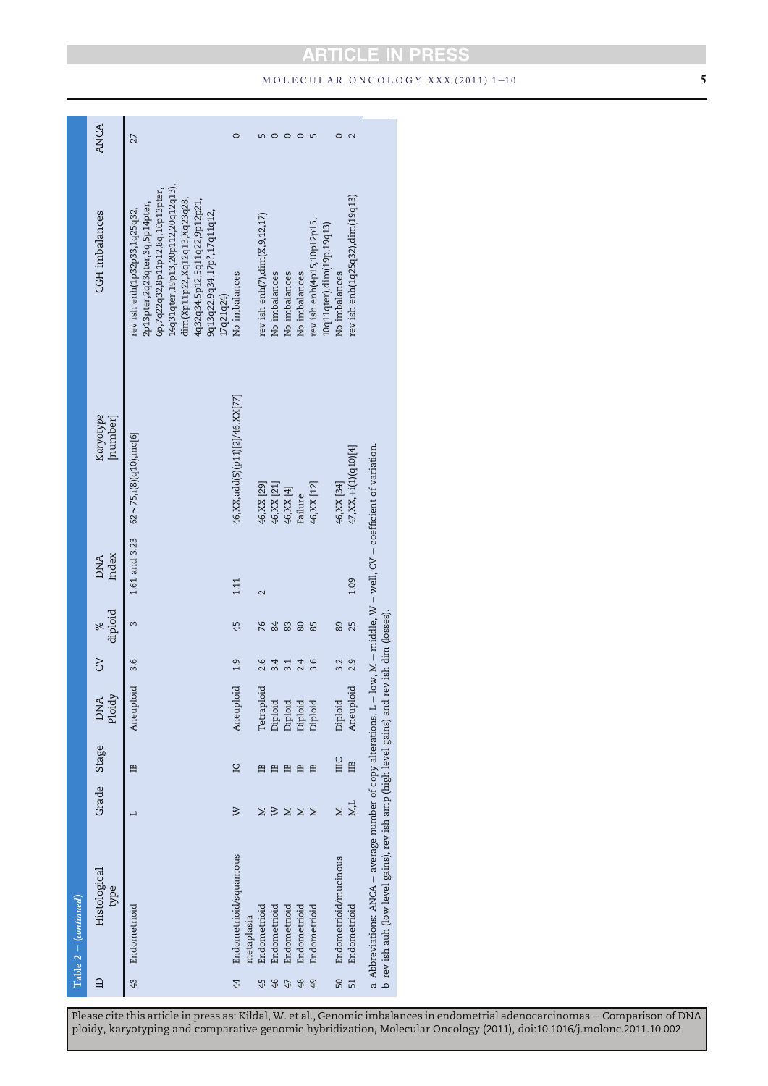# **ARTICLE IN PRESS**  $MOLECULAR ONCOLOGY XXX (2011) 1–10$  5

÷,

|        | $Table 2 - (continued)$                                                                                                                                                                                                |          |                |                      |          |              |                          |                                                    |                                                                                                                                         |             |
|--------|------------------------------------------------------------------------------------------------------------------------------------------------------------------------------------------------------------------------|----------|----------------|----------------------|----------|--------------|--------------------------|----------------------------------------------------|-----------------------------------------------------------------------------------------------------------------------------------------|-------------|
| $\Box$ | Histological<br>type                                                                                                                                                                                                   |          | Grade Stage    | Ploidy<br><b>DNA</b> | <b>S</b> | diploid<br>× | Index<br><b>DNA</b>      | Karyotype<br>[number]                              | <b>CGH</b> imbalances                                                                                                                   | <b>ANCA</b> |
| 43     | Endometrioid                                                                                                                                                                                                           | ⊣        | 兽              | Aneuploid            | 3.6      | 3            |                          | $1.61$ and $3.23$ $62 \sim 75$ , i(8)(q10), inc[6] | 14q31qter,19p13,20p112,20q12q13),<br>6p,7q22q32,8p11p12,8q,10p13pter,<br>2p13pter,2q23qter,3q,5p14pter,<br>rev ish enh(1p32p33,1q25q32, | 27          |
|        |                                                                                                                                                                                                                        |          |                |                      |          |              |                          |                                                    | dim(Xp11p22,Xq12q13,Xq23q28,<br>4q32q34,5p12,5q11q22,9p12p21,<br>9q13q22,9q34,17p?,17q11q12,<br>17q21q24)                               |             |
| 4      | Endometrioid/squamous<br>metaplasia                                                                                                                                                                                    | $\aleph$ | $\overline{a}$ | Aneuploid            | 1.9      | 45           | 1.11                     | 46, XX, add(5)(p11)[2]/46, XX[77]                  | No imbalances                                                                                                                           | 0           |
| 45     | Endometrioid                                                                                                                                                                                                           | ⊠        | 巴              | Tetraploid           | 2.6      | 76           | $\overline{\mathcal{C}}$ | 46, XX [29]                                        | rev ish enh $(7)$ , dim $(X, 9, 12, 17)$                                                                                                |             |
| 46     | Endometrioid                                                                                                                                                                                                           | $\geq$   | 兽              | Diploid              | 3.4      | 84           |                          | 46, XX [21]                                        | No imbalances                                                                                                                           |             |
| 47     | Endometrioid                                                                                                                                                                                                           | ⊠        | 兽              | Diploid              | 3.1      | 83           |                          | 46, XX [4]                                         | No imbalances                                                                                                                           |             |
| 48     | Endometrioid                                                                                                                                                                                                           | ⊠        | 巴              | Diploid              | 2.4      | 80           |                          | Failure                                            | No imbalances                                                                                                                           |             |
| 49     | Endometrioid                                                                                                                                                                                                           | Z        | 巴              | Diploid              | 3.6      | 85           |                          | 46, XX [12]                                        | rev ish enh(4p15,10p12p15                                                                                                               |             |
| 50     | Endometrioid/mucinous                                                                                                                                                                                                  | Z        | ПC             | Diploid              | 3.2      | 89           |                          | 46, XX [34]                                        | 10q11qter),dim(19p,19q13)<br>No imbalances                                                                                              |             |
| 51     | Endometrioid                                                                                                                                                                                                           | M,L      | m              | Aneuploid            | 2.9      | 25           | 1.09                     | 47,XX,+i(1)(q10)[4]                                | rev ish enh(1q25q32),dim(19q13)                                                                                                         |             |
|        | a Abbreviations: ANCA – average number of copy alterations, L – low, M – middle, W – well, CV – coefficient of variation.<br>b rev ish auh (low level gains), rev ish amp (high level gains) and rev ish dim (losses). |          |                |                      |          |              |                          |                                                    |                                                                                                                                         |             |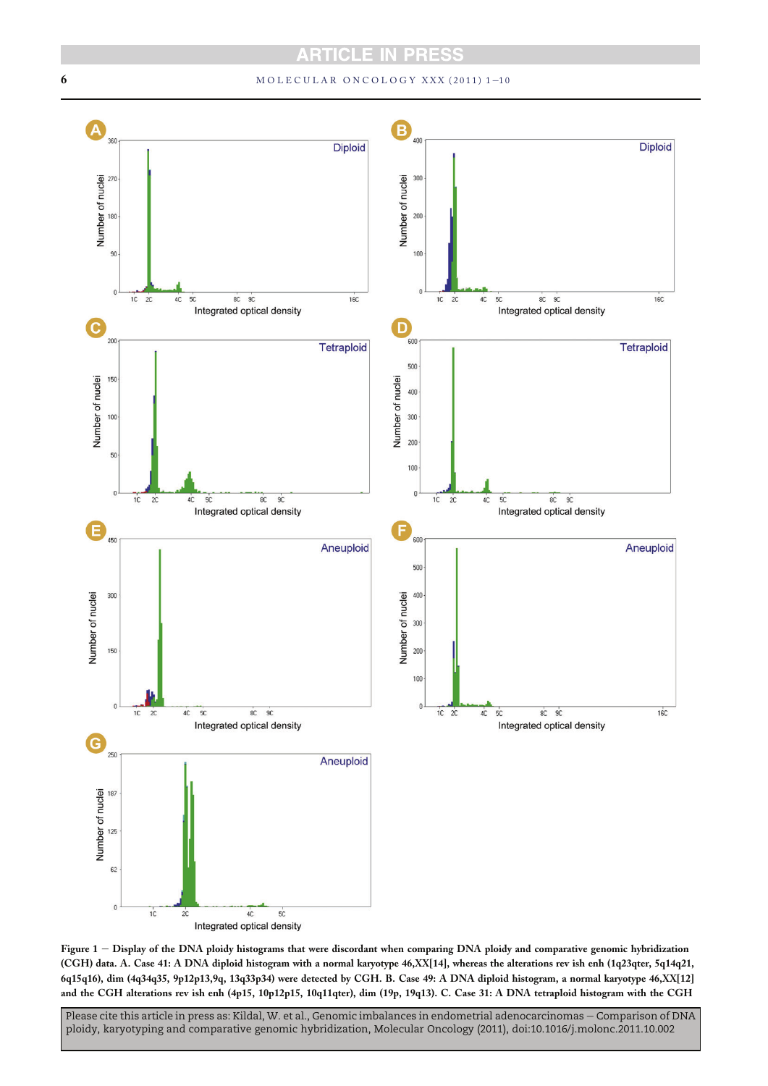# 6 MOLECULAR ONCOLOGY XXX (2011) 1-10



Figure 1 - Display of the DNA ploidy histograms that were discordant when comparing DNA ploidy and comparative genomic hybridization (CGH) data. A. Case 41: A DNA diploid histogram with a normal karyotype 46,XX[14], whereas the alterations rev ish enh (1q23qter, 5q14q21, 6q15q16), dim (4q34q35, 9p12p13,9q, 13q33p34) were detected by CGH. B. Case 49: A DNA diploid histogram, a normal karyotype 46,XX[12] and the CGH alterations rev ish enh (4p15, 10p12p15, 10q11qter), dim (19p, 19q13). C. Case 31: A DNA tetraploid histogram with the CGH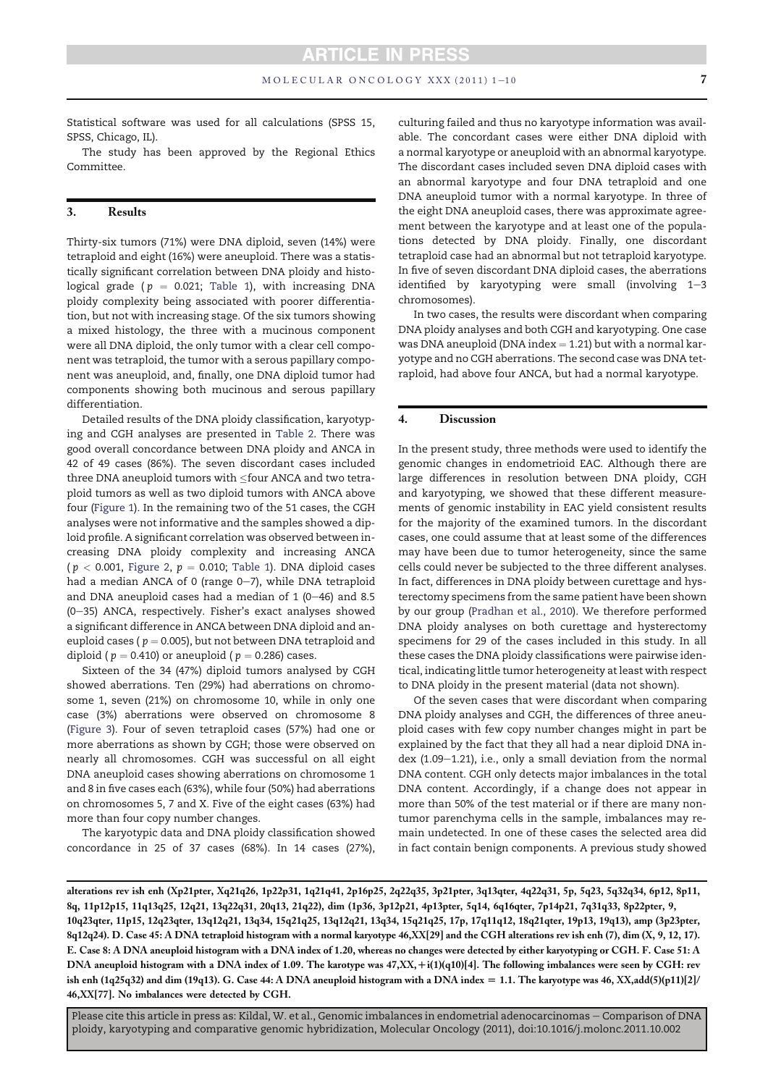Statistical software was used for all calculations (SPSS 15, SPSS, Chicago, IL).

The study has been approved by the Regional Ethics Committee.

# 3. Results

Thirty-six tumors (71%) were DNA diploid, seven (14%) were tetraploid and eight (16%) were aneuploid. There was a statistically significant correlation between DNA ploidy and histological grade ( $p = 0.021$ ; Table 1), with increasing DNA ploidy complexity being associated with poorer differentiation, but not with increasing stage. Of the six tumors showing a mixed histology, the three with a mucinous component were all DNA diploid, the only tumor with a clear cell component was tetraploid, the tumor with a serous papillary component was aneuploid, and, finally, one DNA diploid tumor had components showing both mucinous and serous papillary differentiation.

Detailed results of the DNA ploidy classification, karyotyping and CGH analyses are presented in Table 2. There was good overall concordance between DNA ploidy and ANCA in 42 of 49 cases (86%). The seven discordant cases included three DNA aneuploid tumors with  $\leq$ four ANCA and two tetraploid tumors as well as two diploid tumors with ANCA above four (Figure 1). In the remaining two of the 51 cases, the CGH analyses were not informative and the samples showed a diploid profile. A significant correlation was observed between increasing DNA ploidy complexity and increasing ANCA ( $p < 0.001$ , Figure 2,  $p = 0.010$ ; Table 1). DNA diploid cases had a median ANCA of 0 (range  $0-7$ ), while DNA tetraploid and DNA aneuploid cases had a median of  $1$  (0-46) and 8.5  $(0-35)$  ANCA, respectively. Fisher's exact analyses showed a significant difference in ANCA between DNA diploid and aneuploid cases ( $p = 0.005$ ), but not between DNA tetraploid and diploid ( $p = 0.410$ ) or aneuploid ( $p = 0.286$ ) cases.

Sixteen of the 34 (47%) diploid tumors analysed by CGH showed aberrations. Ten (29%) had aberrations on chromosome 1, seven (21%) on chromosome 10, while in only one case (3%) aberrations were observed on chromosome 8 (Figure 3). Four of seven tetraploid cases (57%) had one or more aberrations as shown by CGH; those were observed on nearly all chromosomes. CGH was successful on all eight DNA aneuploid cases showing aberrations on chromosome 1 and 8 in five cases each (63%), while four (50%) had aberrations on chromosomes 5, 7 and X. Five of the eight cases (63%) had more than four copy number changes.

The karyotypic data and DNA ploidy classification showed concordance in 25 of 37 cases (68%). In 14 cases (27%), culturing failed and thus no karyotype information was available. The concordant cases were either DNA diploid with a normal karyotype or aneuploid with an abnormal karyotype. The discordant cases included seven DNA diploid cases with an abnormal karyotype and four DNA tetraploid and one DNA aneuploid tumor with a normal karyotype. In three of the eight DNA aneuploid cases, there was approximate agreement between the karyotype and at least one of the populations detected by DNA ploidy. Finally, one discordant tetraploid case had an abnormal but not tetraploid karyotype. In five of seven discordant DNA diploid cases, the aberrations identified by karyotyping were small (involving  $1-3$ chromosomes).

In two cases, the results were discordant when comparing DNA ploidy analyses and both CGH and karyotyping. One case was DNA aneuploid (DNA index  $= 1.21$ ) but with a normal karyotype and no CGH aberrations. The second case was DNA tetraploid, had above four ANCA, but had a normal karyotype.

#### 4. Discussion

In the present study, three methods were used to identify the genomic changes in endometrioid EAC. Although there are large differences in resolution between DNA ploidy, CGH and karyotyping, we showed that these different measurements of genomic instability in EAC yield consistent results for the majority of the examined tumors. In the discordant cases, one could assume that at least some of the differences may have been due to tumor heterogeneity, since the same cells could never be subjected to the three different analyses. In fact, differences in DNA ploidy between curettage and hysterectomy specimens from the same patient have been shown by our group (Pradhan et al., 2010). We therefore performed DNA ploidy analyses on both curettage and hysterectomy specimens for 29 of the cases included in this study. In all these cases the DNA ploidy classifications were pairwise identical, indicating little tumor heterogeneity at least with respect to DNA ploidy in the present material (data not shown).

Of the seven cases that were discordant when comparing DNA ploidy analyses and CGH, the differences of three aneuploid cases with few copy number changes might in part be explained by the fact that they all had a near diploid DNA index  $(1.09-1.21)$ , i.e., only a small deviation from the normal DNA content. CGH only detects major imbalances in the total DNA content. Accordingly, if a change does not appear in more than 50% of the test material or if there are many nontumor parenchyma cells in the sample, imbalances may remain undetected. In one of these cases the selected area did in fact contain benign components. A previous study showed

alterations rev ish enh (Xp21pter, Xq21q26, 1p22p31, 1q21q41, 2p16p25, 2q22q35, 3p21pter, 3q13qter, 4q22q31, 5p, 5q23, 5q32q34, 6p12, 8p11, 8q, 11p12p15, 11q13q25, 12q21, 13q22q31, 20q13, 21q22), dim (1p36, 3p12p21, 4p13pter, 5q14, 6q16qter, 7p14p21, 7q31q33, 8p22pter, 9, 10q23qter, 11p15, 12q23qter, 13q12q21, 13q34, 15q21q25, 13q12q21, 13q34, 15q21q25, 17p, 17q11q12, 18q21qter, 19p13, 19q13), amp (3p23pter, 8q12q24). D. Case 45: A DNA tetraploid histogram with a normal karyotype 46,XX[29] and the CGH alterations rev ish enh (7), dim (X, 9, 12, 17). E. Case 8: A DNA aneuploid histogram with a DNA index of 1.20, whereas no changes were detected by either karyotyping or CGH. F. Case 51: A DNA aneuploid histogram with a DNA index of 1.09. The karotype was 47,XX, +i(1)(q10)[4]. The following imbalances were seen by CGH: rev ish enh (1q25q32) and dim (19q13). G. Case 44: A DNA aneuploid histogram with a DNA index [ 1.1. The karyotype was 46, XX,add(5)(p11)[2]/ 46,XX[77]. No imbalances were detected by CGH.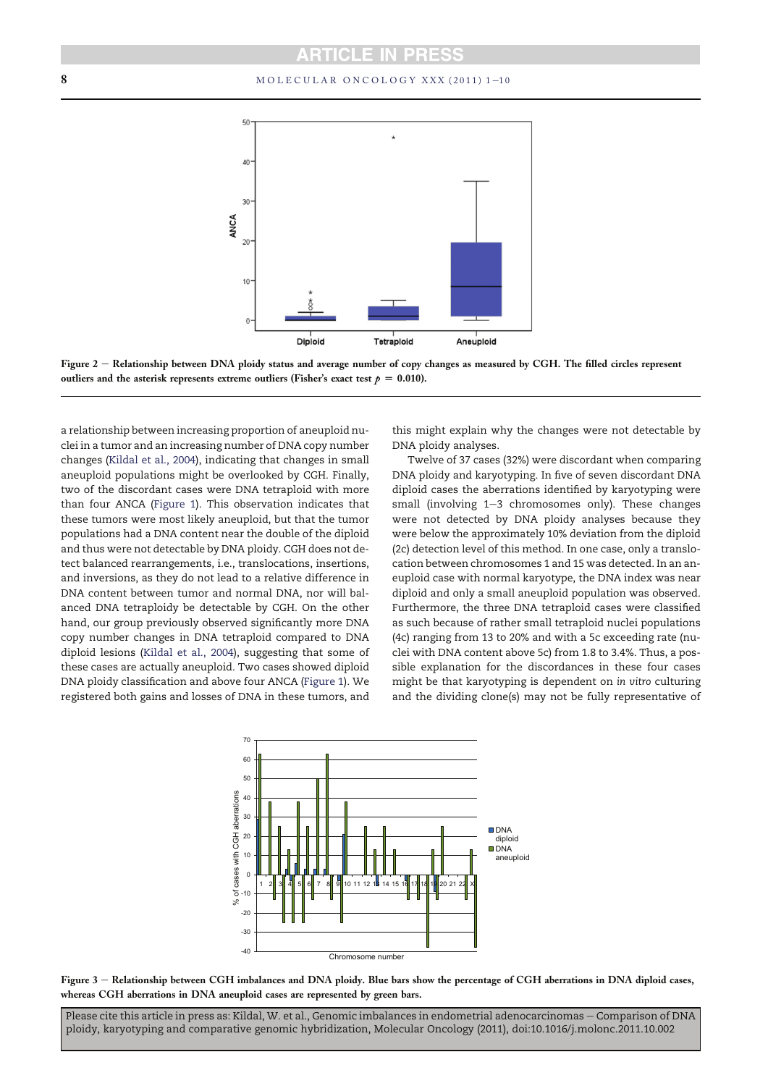# 8 MOLECULAR ONCOLOGY XXX (2011) 1-10





a relationship between increasing proportion of aneuploid nuclei in a tumor and an increasing number of DNA copy number changes (Kildal et al., 2004), indicating that changes in small aneuploid populations might be overlooked by CGH. Finally, two of the discordant cases were DNA tetraploid with more than four ANCA (Figure 1). This observation indicates that these tumors were most likely aneuploid, but that the tumor populations had a DNA content near the double of the diploid and thus were not detectable by DNA ploidy. CGH does not detect balanced rearrangements, i.e., translocations, insertions, and inversions, as they do not lead to a relative difference in DNA content between tumor and normal DNA, nor will balanced DNA tetraploidy be detectable by CGH. On the other hand, our group previously observed significantly more DNA copy number changes in DNA tetraploid compared to DNA diploid lesions (Kildal et al., 2004), suggesting that some of these cases are actually aneuploid. Two cases showed diploid DNA ploidy classification and above four ANCA (Figure 1). We registered both gains and losses of DNA in these tumors, and

this might explain why the changes were not detectable by DNA ploidy analyses.

Twelve of 37 cases (32%) were discordant when comparing DNA ploidy and karyotyping. In five of seven discordant DNA diploid cases the aberrations identified by karyotyping were small (involving  $1-3$  chromosomes only). These changes were not detected by DNA ploidy analyses because they were below the approximately 10% deviation from the diploid (2c) detection level of this method. In one case, only a translocation between chromosomes 1 and 15 was detected. In an aneuploid case with normal karyotype, the DNA index was near diploid and only a small aneuploid population was observed. Furthermore, the three DNA tetraploid cases were classified as such because of rather small tetraploid nuclei populations (4c) ranging from 13 to 20% and with a 5c exceeding rate (nuclei with DNA content above 5c) from 1.8 to 3.4%. Thus, a possible explanation for the discordances in these four cases might be that karyotyping is dependent on in vitro culturing and the dividing clone(s) may not be fully representative of



Figure 3 - Relationship between CGH imbalances and DNA ploidy. Blue bars show the percentage of CGH aberrations in DNA diploid cases, whereas CGH aberrations in DNA aneuploid cases are represented by green bars.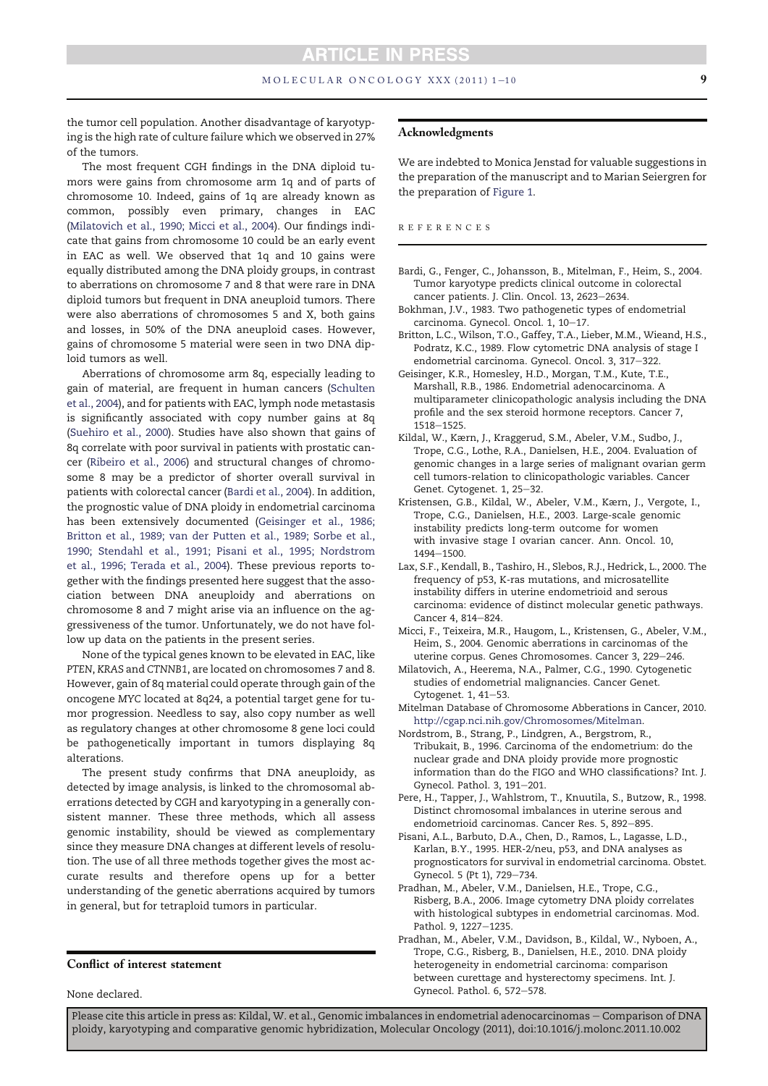#### $MOLECULAR ONCOLOGY XXX (2011) 1–10$  9

the tumor cell population. Another disadvantage of karyotyping is the high rate of culture failure which we observed in 27% of the tumors.

The most frequent CGH findings in the DNA diploid tumors were gains from chromosome arm 1q and of parts of chromosome 10. Indeed, gains of 1q are already known as common, possibly even primary, changes in EAC (Milatovich et al., 1990; Micci et al., 2004). Our findings indicate that gains from chromosome 10 could be an early event in EAC as well. We observed that 1q and 10 gains were equally distributed among the DNA ploidy groups, in contrast to aberrations on chromosome 7 and 8 that were rare in DNA diploid tumors but frequent in DNA aneuploid tumors. There were also aberrations of chromosomes 5 and X, both gains and losses, in 50% of the DNA aneuploid cases. However, gains of chromosome 5 material were seen in two DNA diploid tumors as well.

Aberrations of chromosome arm 8q, especially leading to gain of material, are frequent in human cancers (Schulten et al., 2004), and for patients with EAC, lymph node metastasis is significantly associated with copy number gains at 8q (Suehiro et al., 2000). Studies have also shown that gains of 8q correlate with poor survival in patients with prostatic cancer (Ribeiro et al., 2006) and structural changes of chromosome 8 may be a predictor of shorter overall survival in patients with colorectal cancer (Bardi et al., 2004). In addition, the prognostic value of DNA ploidy in endometrial carcinoma has been extensively documented (Geisinger et al., 1986; Britton et al., 1989; van der Putten et al., 1989; Sorbe et al., 1990; Stendahl et al., 1991; Pisani et al., 1995; Nordstrom et al., 1996; Terada et al., 2004). These previous reports together with the findings presented here suggest that the association between DNA aneuploidy and aberrations on chromosome 8 and 7 might arise via an influence on the aggressiveness of the tumor. Unfortunately, we do not have follow up data on the patients in the present series.

None of the typical genes known to be elevated in EAC, like PTEN, KRAS and CTNNB1, are located on chromosomes 7 and 8. However, gain of 8q material could operate through gain of the oncogene MYC located at 8q24, a potential target gene for tumor progression. Needless to say, also copy number as well as regulatory changes at other chromosome 8 gene loci could be pathogenetically important in tumors displaying 8q alterations.

The present study confirms that DNA aneuploidy, as detected by image analysis, is linked to the chromosomal aberrations detected by CGH and karyotyping in a generally consistent manner. These three methods, which all assess genomic instability, should be viewed as complementary since they measure DNA changes at different levels of resolution. The use of all three methods together gives the most accurate results and therefore opens up for a better understanding of the genetic aberrations acquired by tumors in general, but for tetraploid tumors in particular.

# Conflict of interest statement

None declared.

## Acknowledgments

We are indebted to Monica Jenstad for valuable suggestions in the preparation of the manuscript and to Marian Seiergren for the preparation of Figure 1.

#### REFERENCES

- Bardi, G., Fenger, C., Johansson, B., Mitelman, F., Heim, S., 2004. Tumor karyotype predicts clinical outcome in colorectal cancer patients. J. Clin. Oncol. 13, 2623-2634.
- Bokhman, J.V., 1983. Two pathogenetic types of endometrial carcinoma. Gynecol. Oncol. 1, 10-17.
- Britton, L.C., Wilson, T.O., Gaffey, T.A., Lieber, M.M., Wieand, H.S., Podratz, K.C., 1989. Flow cytometric DNA analysis of stage I endometrial carcinoma. Gynecol. Oncol. 3, 317-322.
- Geisinger, K.R., Homesley, H.D., Morgan, T.M., Kute, T.E., Marshall, R.B., 1986. Endometrial adenocarcinoma. A multiparameter clinicopathologic analysis including the DNA profile and the sex steroid hormone receptors. Cancer 7, 1518-1525
- Kildal, W., Kærn, J., Kraggerud, S.M., Abeler, V.M., Sudbo, J., Trope, C.G., Lothe, R.A., Danielsen, H.E., 2004. Evaluation of genomic changes in a large series of malignant ovarian germ cell tumors-relation to clinicopathologic variables. Cancer Genet. Cytogenet. 1, 25-32.
- Kristensen, G.B., Kildal, W., Abeler, V.M., Kærn, J., Vergote, I., Trope, C.G., Danielsen, H.E., 2003. Large-scale genomic instability predicts long-term outcome for women with invasive stage I ovarian cancer. Ann. Oncol. 10, 1494-1500.
- Lax, S.F., Kendall, B., Tashiro, H., Slebos, R.J., Hedrick, L., 2000. The frequency of p53, K-ras mutations, and microsatellite instability differs in uterine endometrioid and serous carcinoma: evidence of distinct molecular genetic pathways. Cancer 4, 814-824.
- Micci, F., Teixeira, M.R., Haugom, L., Kristensen, G., Abeler, V.M., Heim, S., 2004. Genomic aberrations in carcinomas of the uterine corpus. Genes Chromosomes. Cancer 3, 229-246.
- Milatovich, A., Heerema, N.A., Palmer, C.G., 1990. Cytogenetic studies of endometrial malignancies. Cancer Genet. Cytogenet.  $1, 41-53.$
- Mitelman Database of Chromosome Abberations in Cancer, 2010. http://cgap.nci.nih.gov/Chromosomes/Mitelman.
- Nordstrom, B., Strang, P., Lindgren, A., Bergstrom, R., Tribukait, B., 1996. Carcinoma of the endometrium: do the nuclear grade and DNA ploidy provide more prognostic information than do the FIGO and WHO classifications? Int. J. Gynecol. Pathol. 3, 191-201.
- Pere, H., Tapper, J., Wahlstrom, T., Knuutila, S., Butzow, R., 1998. Distinct chromosomal imbalances in uterine serous and endometrioid carcinomas. Cancer Res. 5, 892-895.
- Pisani, A.L., Barbuto, D.A., Chen, D., Ramos, L., Lagasse, L.D., Karlan, B.Y., 1995. HER-2/neu, p53, and DNA analyses as prognosticators for survival in endometrial carcinoma. Obstet. Gynecol. 5 (Pt 1), 729-734.
- Pradhan, M., Abeler, V.M., Danielsen, H.E., Trope, C.G., Risberg, B.A., 2006. Image cytometry DNA ploidy correlates with histological subtypes in endometrial carcinomas. Mod. Pathol. 9, 1227-1235.
- Pradhan, M., Abeler, V.M., Davidson, B., Kildal, W., Nyboen, A., Trope, C.G., Risberg, B., Danielsen, H.E., 2010. DNA ploidy heterogeneity in endometrial carcinoma: comparison between curettage and hysterectomy specimens. Int. J. Gynecol. Pathol. 6, 572-578.